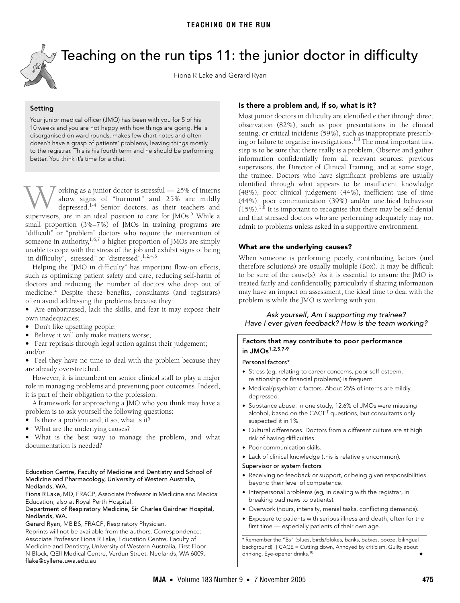

# <span id="page-0-0"></span>Teaching on the run tips 11: the junior doctor in difficulty

Fiona R Lake and Gerard Ryan

**Setting** Your junior medical officer (JMO) has been with you for 5 of his 10 weeks and you are not happy with how things are going. He is disorganised on ward rounds, makes few chart notes and often doesn't have a grasp of patients' problems, leaving things mostly to the registrar. This is his fourth term and he should be performing better. You think it's time for a chat.

orking as a junior doctor is stressful — 25% of interns show signs of "burnout" and 25% are mildly depressed.[1](#page-1-0)[-4](#page-1-1) Senior doctors, as their teachers and W orking as a junior doctor is stressful — 2[5](#page-1-2)% of interns show signs of "burnout" and 25% are mildly depressed.<sup>1-4</sup> Senior doctors, as their teachers and supervisors, are in an ideal position to care for JMOs.<sup>5</sup> While a small proportion (3%–7%) of JMOs in training programs are "difficult" or "problem" doctors who require the intervention of someone in authority,  $1,6,7$  $1,6,7$  $1,6,7$  $1,6,7$  a higher proportion of JMOs are simply unable to cope with the stress of the job and exhibit signs of being "in difficulty", "stressed" or "distressed".<sup>1,[2,](#page-1-5)[4](#page-1-1),[6](#page-1-3)</sup>

The Medical of Australia II and Australia I.<br>Helping the "JMO in difficulty" has important flow-on effects, such as optimising patient safety and care, reducing self-harm of as optimising patient saicty and eare, reduc doctors and reducing the number of doctors who drop out of medicine.<sup>2</sup> Despite these benefits, consultants (and registrars) often avoid addressing the problems because they:

**•** Are embarrassed, lack the skills, and fear it may expose their own inadequacies;

- **•** Don't like upsetting people;
- **•** Believe it will only make matters worse;
- **•** Fear reprisals through legal action against their judgement; and/or

**•** Feel they have no time to deal with the problem because they are already overstretched.

However, it is incumbent on senior clinical staff to play a major role in managing problems and preventing poor outcomes. Indeed, it is part of their obligation to the profession.

A framework for approaching a JMO who you think may have a problem is to ask yourself the following questions:

- **•** Is there a problem and, if so, what is it?
- **•** What are the underlying causes?

**•** What is the best way to manage the problem, and what documentation is needed?

#### Education Centre, Faculty of Medicine and Dentistry and School of Medicine and Pharmacology, University of Western Australia, Nedlands, WA.

Fiona R Lake, MD, FRACP, Associate Professor in Medicine and Medical Education; also at Royal Perth Hospital.

#### Department of Respiratory Medicine, Sir Charles Gairdner Hospital, Nedlands, WA.

Gerard Ryan, MB BS, FRACP, Respiratory Physician.

Reprints will not be available from the authors. Correspondence: Associate Professor Fiona R Lake, Education Centre, Faculty of Medicine and Dentistry, University of Western Australia, First Floor N Block, QEII Medical Centre, Verdun Street, Nedlands, WA 6009. flake@cyllene.uwa.edu.au

### **Is there a problem and, if so, what is it?**

Most junior doctors in difficulty are identified either through direct observation (82%), such as poor presentations in the clinical setting, or critical incidents (59%), such as inappropriate prescrib-ing or failure to organise investigations.<sup>1,[8](#page-1-6)</sup> The most important first step is to be sure that there really is a problem. Observe and gather information confidentially from all relevant sources: previous supervisors, the Director of Clinical Training, and at some stage, the trainee. Doctors who have significant problems are usually identified through what appears to be insufficient knowledge (48%), poor clinical judgement (44%), inefficient use of time (44%), poor communication (39%) and/or unethical behaviour  $(15\%)$ <sup>1,8</sup> It is important to recognise that there may be self-denial and that stressed doctors who are performing adequately may not admit to problems unless asked in a supportive environment.

#### **What are the underlying causes?**

When someone is performing poorly, contributing factors (and therefore solutions) are usually multiple (Box). It may be difficult to be sure of the cause(s). As it is essential to ensure the JMO is treated fairly and confidentially, particularly if sharing information may have an impact on assessment, the ideal time to deal with the problem is while the JMO is working with you.

Ask yourself, Am I supporting my trainee? Have I ever given feedback? How is the team working?

#### **Factors that may contribute to poor performance in JMOs[1,](#page-1-0)[2](#page-1-5),[5,](#page-1-2)[7](#page-1-4)[-9](#page-1-7)**

#### Personal factors\*

- **•** Stress (eg, relating to career concerns, poor self-esteem, relationship or financial problems) is frequent.
- **•** Medical/psychiatric factors. About 25% of interns are mildly depressed.
- **•** Substance abuse. In one study, 12.6% of JMOs were misusing alcohol, based on the CAGE<sup>†</sup> questions, but consultants only suspected it in 1%.
- **•** Cultural differences. Doctors from a different culture are at high risk of having difficulties.
- **•** Poor communication skills.
- **•** Lack of clinical knowledge (this is relatively uncommon).

#### Supervisor or system factors

- **•** Receiving no feedback or support, or being given responsibilities beyond their level of competence.
- **•** Interpersonal problems (eg, in dealing with the registrar, in breaking bad news to patients).
- **•** Overwork (hours, intensity, menial tasks, conflicting demands).
- **•** Exposure to patients with serious illness and death, often for the first time — especially patients of their own age.

\* Remember the "Bs" (blues, birds/blokes, banks, babies, booze, bilingual background). † CAGE = Cutting down, Annoyed by criticism, Guilty about drinking, Eye-opener drinks.<sup>[10](#page-1-8)</sup>